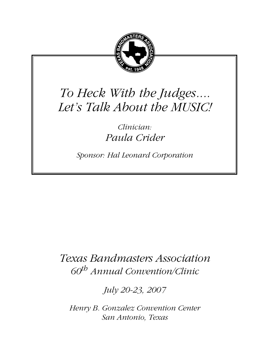

# *To Heck With the Judges.... Let's Talk About the MUSIC!*

*Clinician: Paula Crider*

*Sponsor: Hal Leonard Corporation*

## *Texas Bandmasters Association 60th Annual Convention/Clinic*

*July 20-23, 2007*

*Henry B. Gonzalez Convention Center San Antonio, Texas*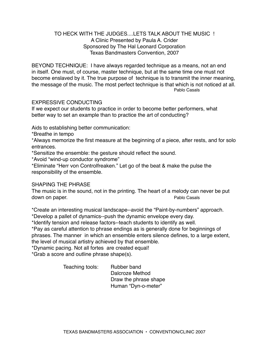### TO HECK WITH THE JUDGES....LETS TALK ABOUT THE MUSIC ! A Clinic Presented by Paula A. Crider Sponsored by The Hal Leonard Corporation Texas Bandmasters Convention, 2007

BEYOND TECHNIQUE: I have always regarded technique as a means, not an end in itself. One must, of course, master technique, but at the same time one must not become enslaved by it. The true purpose of technique is to transmit the inner meaning, the message of the music. The most perfect technique is that which is not noticed at all. Pablo Casals

#### EXPRESSIVE CONDUCTING

If we expect our students to practice in order to become better performers, what better way to set an example than to practice the art of conducting?

Aids to establishing better communication:

\*Breathe in tempo

\*Always memorize the first measure at the beginning of a piece, after rests, and for solo entrances.

\*Sensitize the ensemble: the gesture should reflect the sound.

\*Avoid "wind-up conductor syndrome"

\*Eliminate "Herr von Controlfreaken." Let go of the beat & make the pulse the responsibility of the ensemble.

#### SHAPING THE PHRASE

The music is in the sound, not in the printing. The heart of a melody can never be put down on paper. The paper of the control of the case of the case of the case of the case of the case of the case of the case of the case of the case of the case of the case of the case of the case of the case of the case of

\*Create an interesting musical landscape--avoid the "Paint-by-numbers" approach.

\*Develop a pallet of dynamics--push the dynamic envelope every day.

\*Identify tension and release factors--teach students to identify as well.

\*Pay as careful attention to phrase endings as is generally done for beginnings of phrases. The manner in which an ensemble enters silence defines, to a large extent, the level of musical artistry achieved by that ensemble.

\*Dynamic pacing. Not all fortes are created equal!

\*Grab a score and outline phrase shape(s).

Teaching tools: Rubber band

 Dalcroze Method Draw the phrase shape Human "Dyn-o-meter"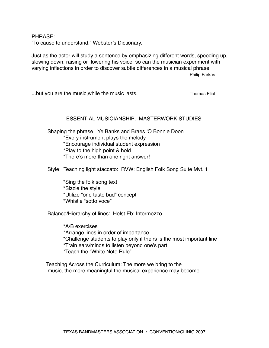PHRASE:

"To cause to understand." Webster's Dictionary.

Just as the actor will study a sentence by emphasizing different words, speeding up, slowing down, raising or lowering his voice, so can the musician experiment with varying inflections in order to discover subtle differences in a musical phrase.

Philip Farkas

...but you are the music,while the music lasts. Thomas Eliot

#### ESSENTIAL MUSICIANSHIP: MASTERWORK STUDIES

Shaping the phrase: Ye Banks and Braes 'O Bonnie Doon \*Every instrument plays the melody \*Encourage individual student expression \*Play to the high point & hold \*There's more than one right answer!

Style: Teaching light staccato: RVW: English Folk Song Suite Mvt. 1

 \*Sing the folk song text \*Sizzle the style \*Utilize "one taste bud" concept \*Whistle "sotto voce"

Balance/Hierarchy of lines: Holst Eb: Intermezzo

 \*A/B exercises \*Arrange lines in order of importance \*Challenge students to play only if theirs is the most important line \*Train ears/minds to listen beyond one's part \*Teach the "White Note Rule"

 Teaching Across the Curriculum: The more we bring to the music, the more meaningful the musical experience may become.